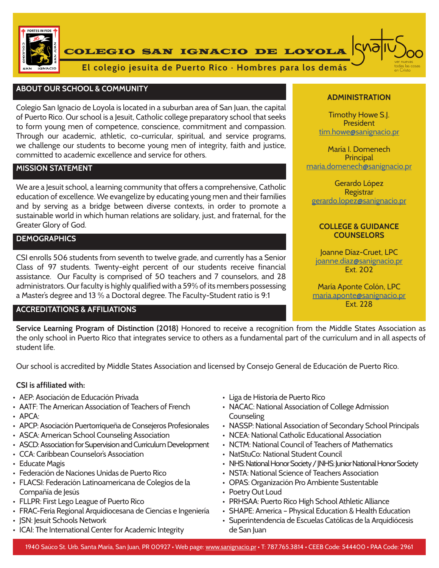

COLEGIO SAN IGNACIO DE LOYOLA



**El colegio jesuita de Puerto Rico · Hombres para los demás**

### **ABOUT OUR SCHOOL & COMMUNITY**

Colegio San Ignacio de Loyola is located in a suburban area of San Juan, the capital of Puerto Rico. Our school is a Jesuit, Catholic college preparatory school that seeks to form young men of competence, conscience, commitment and compassion. Through our academic, athletic, co-curricular, spiritual, and service programs, we challenge our students to become young men of integrity, faith and justice, committed to academic excellence and service for others.

#### **MISSION STATEMENT**

We are a Jesuit school, a learning community that offers a comprehensive, Catholic education of excellence. We evangelize by educating young men and their families and by serving as a bridge between diverse contexts, in order to promote a sustainable world in which human relations are solidary, just, and fraternal, for the Greater Glory of God.

### **DEMOGRAPHICS**

CSI enrolls 506 students from seventh to twelve grade, and currently has a Senior Class of 97 students. Twenty-eight percent of our students receive financial assistance. Our Faculty is comprised of 50 teachers and 7 counselors, and 28 administrators. Our faculty is highly qualified with a 59% of its members possessing a Master's degree and 13 % a Doctoral degree. The Faculty-Student ratio is 9:1

# **ACCREDITATIONS & AFFILIATIONS**

#### **ADMINISTRATION**

Timothy Howe S.J. President tim.howe@sanignacio.pr

María I. Domenech **Principal** maria.domenech@sanignacio.pr

Gerardo López Registrar gerardo.lopez@sanignacio.pr

#### **COLLEGE & GUIDANCE COUNSELORS**

Joanne Díaz-Cruet, LPC joanne.diaz@sanignacio.pr Ext. 202

María Aponte Colón, LPC maria.aponte@sanignacio.pr

**Service Learning Program of Distinction (2018)** Honored to receive a recognition from the Middle States Association as the only school in Puerto Rico that integrates service to others as a fundamental part of the curriculum and in all aspects of student life.

Our school is accredited by Middle States Association and licensed by Consejo General de Educación de Puerto Rico.

#### **CSI is affiliated with:**

- AEP: Asociación de Educación Privada
- AATF: The American Association of Teachers of French
- APCA:
- APCP: Asociación Puertorriqueña de Consejeros Profesionales
- ASCA: American School Counseling Association
- ASCD: Association for Supervision and Curriculum Development
- CCA: Caribbean Counselor's Association
- Educate Magis
- Federación de Naciones Unidas de Puerto Rico
- FLACSI: Federación Latinoamericana de Colegios de la Compañía de Jesús
- FLLPR: First Lego League of Puerto Rico
- FRAC-Feria Regional Arquidiocesana de Ciencias e Ingeniería
- JSN: Jesuit Schools Network
- ICAI: The International Center for Academic Integrity
- Liga de Historia de Puerto Rico
- NACAC: National Association of College Admission **Counseling**
- NASSP: National Association of Secondary School Principals
- NCEA: National Catholic Educational Association
- NCTM: National Council of Teachers of Mathematics
- NatStuCo: National Student Council
- NHS: National Honor Society / JNHS: Junior National Honor Society
- NSTA: National Science of Teachers Association
- OPAS: Organización Pro Ambiente Sustentable
- Poetry Out Loud
- PRHSAA: Puerto Rico High School Athletic Alliance
- SHAPE: America Physical Education & Health Education
- Superintendencia de Escuelas Católicas de la Arquidiócesis de San Iuan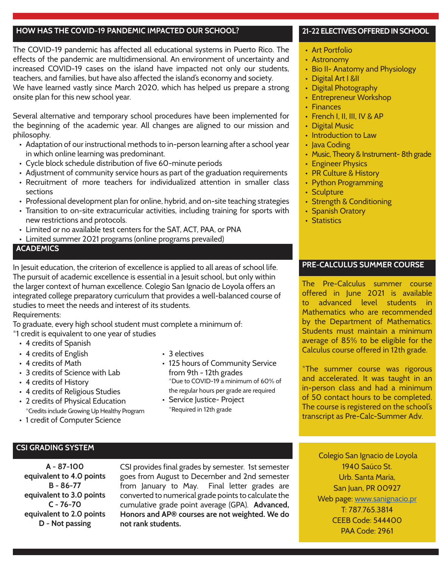### **HOW HAS THE COVID-19 PANDEMIC IMPACTED OUR SCHOOL?**

The COVID-19 pandemic has affected all educational systems in Puerto Rico. The effects of the pandemic are multidimensional. An environment of uncertainty and increased COVID-19 cases on the island have impacted not only our students, teachers, and families, but have also affected the island's economy and society.

We have learned vastly since March 2020, which has helped us prepare a strong onsite plan for this new school year.

Several alternative and temporary school procedures have been implemented for the beginning of the academic year. All changes are aligned to our mission and philosophy.

- Adaptation of our instructional methods to in-person learning after a school year in which online learning was predominant.
- Cycle block schedule distribution of five 60-minute periods
- Adjustment of community service hours as part of the graduation requirements
- Recruitment of more teachers for individualized attention in smaller class sections
- Professional development plan for online, hybrid, and on-site teaching strategies
- Transition to on-site extracurricular activities, including training for sports with new restrictions and protocols.
- Limited or no available test centers for the SAT, ACT, PAA, or PNA
- Limited summer 2021 programs (online programs prevailed)

# **ACADEMICS**

In Jesuit education, the criterion of excellence is applied to all areas of school life. The pursuit of academic excellence is essential in a Jesuit school, but only within the larger context of human excellence. Colegio San Ignacio de Loyola offers an integrated college preparatory curriculum that provides a well-balanced course of studies to meet the needs and interest of its students. Requirements:

To graduate, every high school student must complete a minimum of:

\*1 credit is equivalent to one year of studies

- 4 credits of Spanish
- 4 credits of English
- 4 credits of Math
- 3 credits of Science with Lab
- 4 credits of History
- 4 credits of Religious Studies
- 2 credits of Physical Education \*Credits include Growing Up Healthy Program
- 1 credit of Computer Science
- 3 electives
- 125 hours of Community Service from 9th - 12th grades \*Due to COVID-19 a minimum of 60% of the regular hours per grade are required
- Service Justice- Project \*Required in 12th grade

#### **21-22 ELECTIVES OFFERED IN SCHOOL**

• Art Portfolio

֚֬

- Astronomy
- Bio II- Anatomy and Physiology
- Digital Art I &II
- Digital Photography
- Entrepreneur Workshop
- Finances
- French I, II, III, IV & AP
- Digital Music
- Introduction to Law
- Java Coding
- Music, Theory & Instrument- 8th grade
- Engineer Physics
- PR Culture & History
- Python Programming
- Sculpture
- Strength & Conditioning
- Spanish Oratory
- Statistics

# **PRE-CALCULUS SUMMER COURSE**

The Pre-Calculus summer course offered in June 2021 is available to advanced level students in Mathematics who are recommended by the Department of Mathematics. Students must maintain a minimum average of 85% to be eligible for the Calculus course offered in 12th grade.

\*The summer course was rigorous and accelerated. It was taught in an in-person class and had a minimum of 50 contact hours to be completed. The course is registered on the school's transcript as Pre-Calc-Summer Adv.

### **CSI GRADING SYSTEM**

**A - 87-100 equivalent to 4.0 points B - 86-77 equivalent to 3.0 points C - 76-70 equivalent to 2.0 points D - Not passing**

CSI provides final grades by semester. 1st semester goes from August to December and 2nd semester from January to May. Final letter grades are converted to numerical grade points to calculate the cumulative grade point average (GPA). **Advanced, Honors and AP® courses are not weighted. We do not rank students.**

 Colegio San Ignacio de Loyola 1940 Saúco St. Urb. Santa María, San Juan, PR 00927 Web page: www.sanignacio.pr T: 787.765.3814 CEEB Code: 544400 PAA Code: 2961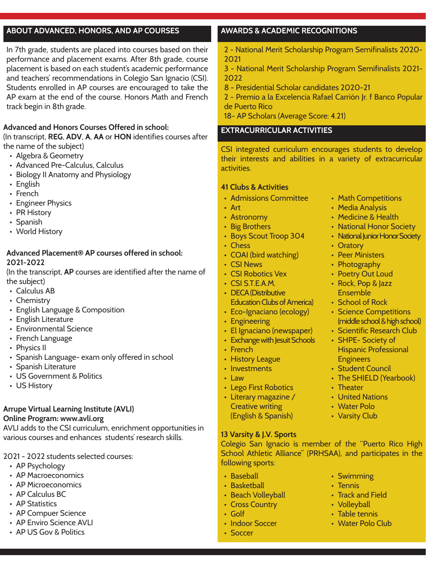## **ABOUT ADVANCED, HONORS, AND AP COURSES**

In 7th grade, students are placed into courses based on their performance and placement exams. After 8th grade, course placement is based on each student's academic performance and teachers' recommendations in Colegio San Ignacio (CSI). Students enrolled in AP courses are encouraged to take the AP exam at the end of the course. Honors Math and French track begin in 8th grade.

### **Advanced and Honors Courses Offered in school:**

(In transcript, **REG**, **ADV**, **A**, **AA** or **HON** identifies courses after the name of the subject)

- Algebra & Geometry
- Advanced Pre-Calculus, Calculus
- Biology II Anatomy and Physiology
- English
- French
- Engineer Physics
- PR History
- Spanish
- World History

### **Advanced Placement® AP courses offered in school: 2021-2022**

(In the transcript, **AP** courses are identified after the name of the subject)

- Calculus AB
- Chemistry
- English Language & Composition
- English Literature
- Environmental Science
- French Language
- Physics II
- Spanish Language- exam only offered in school
- Spanish Literature
- US Government & Politics
- US History

# **Arrupe Virtual Learning Institute (AVLI)**

### **Online Program: www.avli.org**

AVLI adds to the CSI curriculum, enrichment opportunities in various courses and enhances students' research skills.

# 2021 - 2022 students selected courses:

- AP Psychology
- AP Macroeconomics
- AP Microeconomics
- AP Calculus BC
- AP Statistics
- AP Compuer Science
- AP Enviro Science AVLI
- AP US Gov & Politics

# **AWARDS & ACADEMIC RECOGNITIONS**

2 - National Merit Scholarship Program Semifinalists 2020- 2021

3 - National Merit Scholarship Program Semifinalists 2021- 2022

- 8 Presidential Scholar candidates 2020-21
- 2 Premio a la Excelencia Rafael Carrión Jr. f Banco Popular de Puerto Rico

18- AP Scholars (Average Score: 4.21)

# **EXTRACURRICULAR ACTIVITIES**

CSI integrated curriculum encourages students to develop their interests and abilities in a variety of extracurricular activities.

### **41 Clubs & Activities**

- Admissions Committee
- Art
- Astronomy
- Big Brothers
- Boys Scout Troop 304
- Chess
- COAI (bird watching)
- CSI News
- CSI Robotics Vex
- CSI S.T.E.A.M.
- DECA (Distributive Education Clubs of America)
- Eco-Ignaciano (ecology)
- Engineering
- El Ignaciano (newspaper)
- Exchange with Jesuit Schools
- French
- History League
- Investments
- Law
- Lego First Robotics • Literary magazine /
- Creative writing (English & Spanish)
- **13 Varsity & J.V. Sports**

Colegio San Ignacio is member of the "Puerto Rico High School Athletic Alliance" (PRHSAA), and participates in the following sports:

- Baseball
- Basketball
- Beach Volleyball
- Cross Country
- Golf
- Indoor Soccer
- Soccer
- Math Competitions
- Media Analysis
- Medicine & Health
- National Honor Society
- National Junior Honor Society
- Oratory
- Peer Ministers
- Photography
- Poetry Out Loud
- Rock, Pop & Jazz Ensemble
- School of Rock
- Science Competitions (middle school & high school)
- Scientific Research Club
- SHPE- Society of Hispanic Professional
- **Engineers**
- Student Council
- The SHIELD (Yearbook)
- Theater
- United Nations
- Water Polo
- Varsity Club

• Swimming • Tennis

• Water Polo Club

• Track and Field • Volleyball • Table tennis